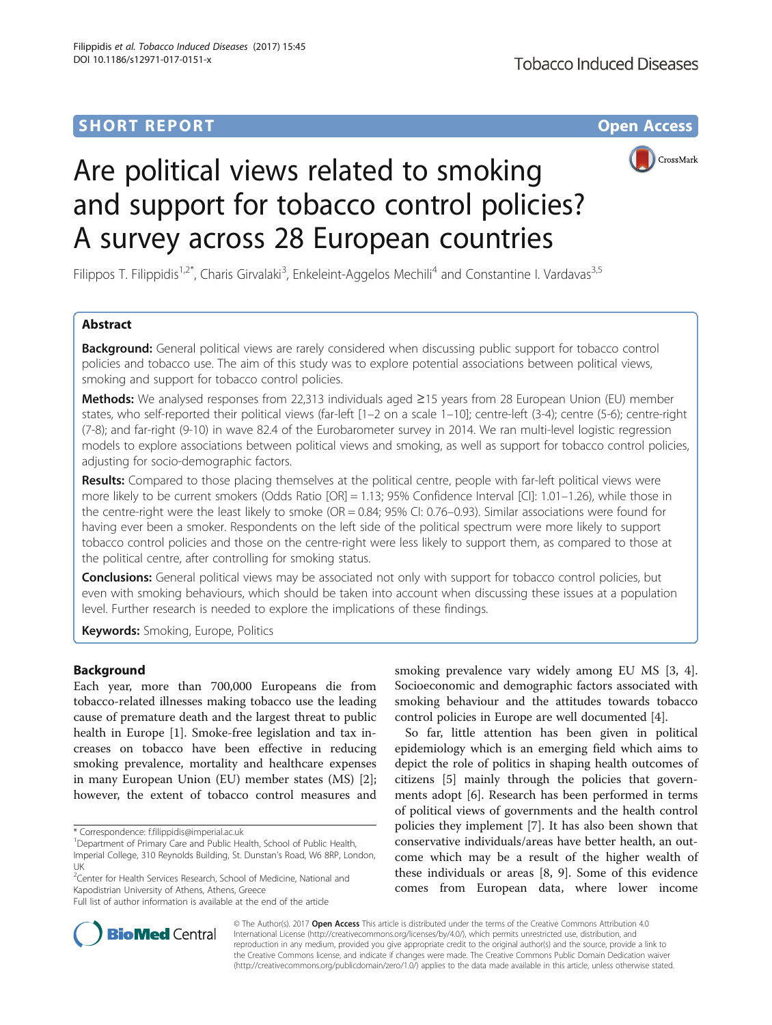# **SHORT REPORT SHORT CONSUMING THE CONSUMING THE CONSUMING THE CONSUMING THE CONSUMING THE CONSUMING THE CONSUMING THE CONSUMING THE CONSUMING THE CONSUMING THE CONSUMING THE CONSUMING THE CONSUMING THE CONSUMING THE CONS**



# Are political views related to smoking and support for tobacco control policies? A survey across 28 European countries

Filippos T. Filippidis<sup>1,2\*</sup>, Charis Girvalaki<sup>3</sup>, Enkeleint-Aggelos Mechili<sup>4</sup> and Constantine I. Vardavas<sup>3,5</sup>

# Abstract

Background: General political views are rarely considered when discussing public support for tobacco control policies and tobacco use. The aim of this study was to explore potential associations between political views, smoking and support for tobacco control policies.

Methods: We analysed responses from 22,313 individuals aged ≥15 years from 28 European Union (EU) member states, who self-reported their political views (far-left [1–2 on a scale 1–10]; centre-left (3-4); centre (5-6); centre-right (7-8); and far-right (9-10) in wave 82.4 of the Eurobarometer survey in 2014. We ran multi-level logistic regression models to explore associations between political views and smoking, as well as support for tobacco control policies, adjusting for socio-demographic factors.

Results: Compared to those placing themselves at the political centre, people with far-left political views were more likely to be current smokers (Odds Ratio [OR] = 1.13; 95% Confidence Interval [CI]: 1.01–1.26), while those in the centre-right were the least likely to smoke (OR = 0.84; 95% CI: 0.76–0.93). Similar associations were found for having ever been a smoker. Respondents on the left side of the political spectrum were more likely to support tobacco control policies and those on the centre-right were less likely to support them, as compared to those at the political centre, after controlling for smoking status.

**Conclusions:** General political views may be associated not only with support for tobacco control policies, but even with smoking behaviours, which should be taken into account when discussing these issues at a population level. Further research is needed to explore the implications of these findings.

**Keywords:** Smoking, Europe, Politics

# Background

Each year, more than 700,000 Europeans die from tobacco-related illnesses making tobacco use the leading cause of premature death and the largest threat to public health in Europe [[1\]](#page-3-0). Smoke-free legislation and tax increases on tobacco have been effective in reducing smoking prevalence, mortality and healthcare expenses in many European Union (EU) member states (MS) [\[2](#page-3-0)]; however, the extent of tobacco control measures and

\* Correspondence: [f.filippidis@imperial.ac.uk](mailto:f.filippidis@imperial.ac.uk) <sup>1</sup>

<sup>1</sup>Department of Primary Care and Public Health, School of Public Health,

<sup>2</sup> Center for Health Services Research, School of Medicine, National and Kapodistrian University of Athens, Athens, Greece

Full list of author information is available at the end of the article

smoking prevalence vary widely among EU MS [[3, 4](#page-4-0)]. Socioeconomic and demographic factors associated with smoking behaviour and the attitudes towards tobacco control policies in Europe are well documented [\[4](#page-4-0)].

So far, little attention has been given in political epidemiology which is an emerging field which aims to depict the role of politics in shaping health outcomes of citizens [\[5](#page-4-0)] mainly through the policies that governments adopt [\[6](#page-4-0)]. Research has been performed in terms of political views of governments and the health control policies they implement [\[7\]](#page-4-0). It has also been shown that conservative individuals/areas have better health, an outcome which may be a result of the higher wealth of these individuals or areas [\[8](#page-4-0), [9\]](#page-4-0). Some of this evidence comes from European data, where lower income



© The Author(s). 2017 **Open Access** This article is distributed under the terms of the Creative Commons Attribution 4.0 International License [\(http://creativecommons.org/licenses/by/4.0/](http://creativecommons.org/licenses/by/4.0/)), which permits unrestricted use, distribution, and reproduction in any medium, provided you give appropriate credit to the original author(s) and the source, provide a link to the Creative Commons license, and indicate if changes were made. The Creative Commons Public Domain Dedication waiver [\(http://creativecommons.org/publicdomain/zero/1.0/](http://creativecommons.org/publicdomain/zero/1.0/)) applies to the data made available in this article, unless otherwise stated.

Imperial College, 310 Reynolds Building, St. Dunstan's Road, W6 8RP, London, UK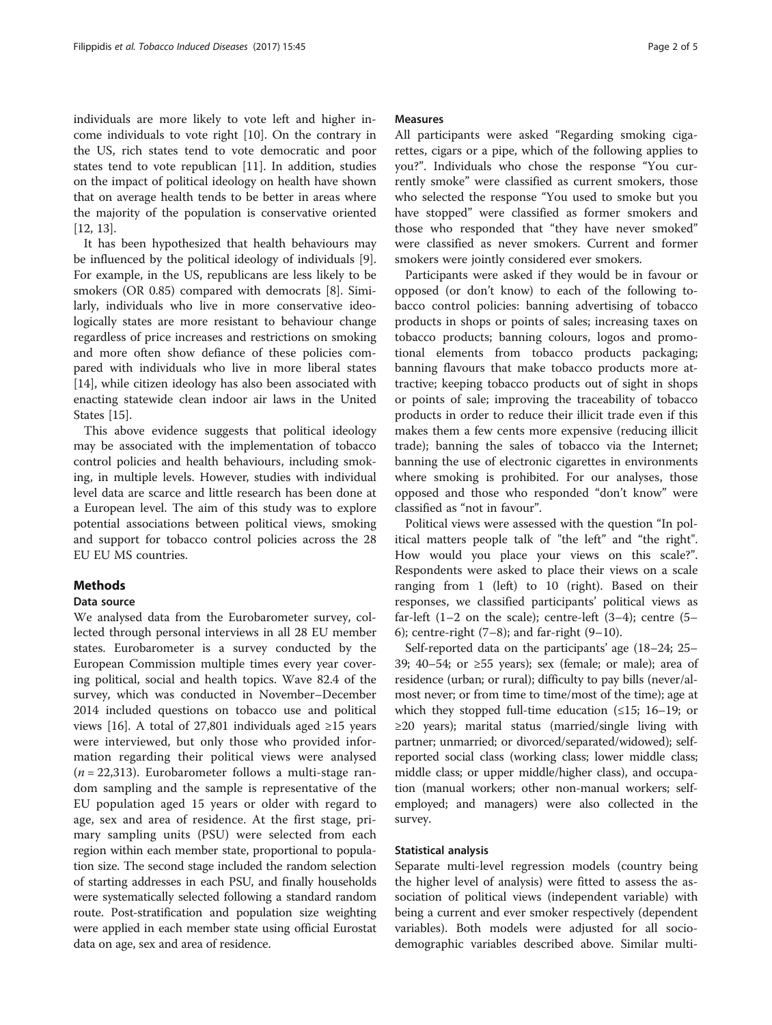individuals are more likely to vote left and higher income individuals to vote right [[10\]](#page-4-0). On the contrary in the US, rich states tend to vote democratic and poor states tend to vote republican [\[11\]](#page-4-0). In addition, studies on the impact of political ideology on health have shown that on average health tends to be better in areas where the majority of the population is conservative oriented [[12, 13\]](#page-4-0).

It has been hypothesized that health behaviours may be influenced by the political ideology of individuals [\[9](#page-4-0)]. For example, in the US, republicans are less likely to be smokers (OR 0.85) compared with democrats [[8](#page-4-0)]. Similarly, individuals who live in more conservative ideologically states are more resistant to behaviour change regardless of price increases and restrictions on smoking and more often show defiance of these policies compared with individuals who live in more liberal states [[14\]](#page-4-0), while citizen ideology has also been associated with enacting statewide clean indoor air laws in the United States [[15\]](#page-4-0).

This above evidence suggests that political ideology may be associated with the implementation of tobacco control policies and health behaviours, including smoking, in multiple levels. However, studies with individual level data are scarce and little research has been done at a European level. The aim of this study was to explore potential associations between political views, smoking and support for tobacco control policies across the 28 EU EU MS countries.

# **Methods**

## Data source

We analysed data from the Eurobarometer survey, collected through personal interviews in all 28 EU member states. Eurobarometer is a survey conducted by the European Commission multiple times every year covering political, social and health topics. Wave 82.4 of the survey, which was conducted in November–December 2014 included questions on tobacco use and political views [[16\]](#page-4-0). A total of 27,801 individuals aged ≥15 years were interviewed, but only those who provided information regarding their political views were analysed  $(n = 22,313)$ . Eurobarometer follows a multi-stage random sampling and the sample is representative of the EU population aged 15 years or older with regard to age, sex and area of residence. At the first stage, primary sampling units (PSU) were selected from each region within each member state, proportional to population size. The second stage included the random selection of starting addresses in each PSU, and finally households were systematically selected following a standard random route. Post-stratification and population size weighting were applied in each member state using official Eurostat data on age, sex and area of residence.

### Measures

All participants were asked "Regarding smoking cigarettes, cigars or a pipe, which of the following applies to you?". Individuals who chose the response "You currently smoke" were classified as current smokers, those who selected the response "You used to smoke but you have stopped" were classified as former smokers and those who responded that "they have never smoked" were classified as never smokers. Current and former smokers were jointly considered ever smokers.

Participants were asked if they would be in favour or opposed (or don't know) to each of the following tobacco control policies: banning advertising of tobacco products in shops or points of sales; increasing taxes on tobacco products; banning colours, logos and promotional elements from tobacco products packaging; banning flavours that make tobacco products more attractive; keeping tobacco products out of sight in shops or points of sale; improving the traceability of tobacco products in order to reduce their illicit trade even if this makes them a few cents more expensive (reducing illicit trade); banning the sales of tobacco via the Internet; banning the use of electronic cigarettes in environments where smoking is prohibited. For our analyses, those opposed and those who responded "don't know" were classified as "not in favour".

Political views were assessed with the question "In political matters people talk of "the left" and "the right". How would you place your views on this scale?". Respondents were asked to place their views on a scale ranging from 1 (left) to 10 (right). Based on their responses, we classified participants' political views as far-left  $(1-2)$  on the scale); centre-left  $(3-4)$ ; centre  $(5-$ 6); centre-right  $(7-8)$ ; and far-right  $(9-10)$ .

Self-reported data on the participants' age (18–24; 25– 39; 40–54; or ≥55 years); sex (female; or male); area of residence (urban; or rural); difficulty to pay bills (never/almost never; or from time to time/most of the time); age at which they stopped full-time education  $(\leq 15; 16-19;$  or ≥20 years); marital status (married/single living with partner; unmarried; or divorced/separated/widowed); selfreported social class (working class; lower middle class; middle class; or upper middle/higher class), and occupation (manual workers; other non-manual workers; selfemployed; and managers) were also collected in the survey.

## Statistical analysis

Separate multi-level regression models (country being the higher level of analysis) were fitted to assess the association of political views (independent variable) with being a current and ever smoker respectively (dependent variables). Both models were adjusted for all sociodemographic variables described above. Similar multi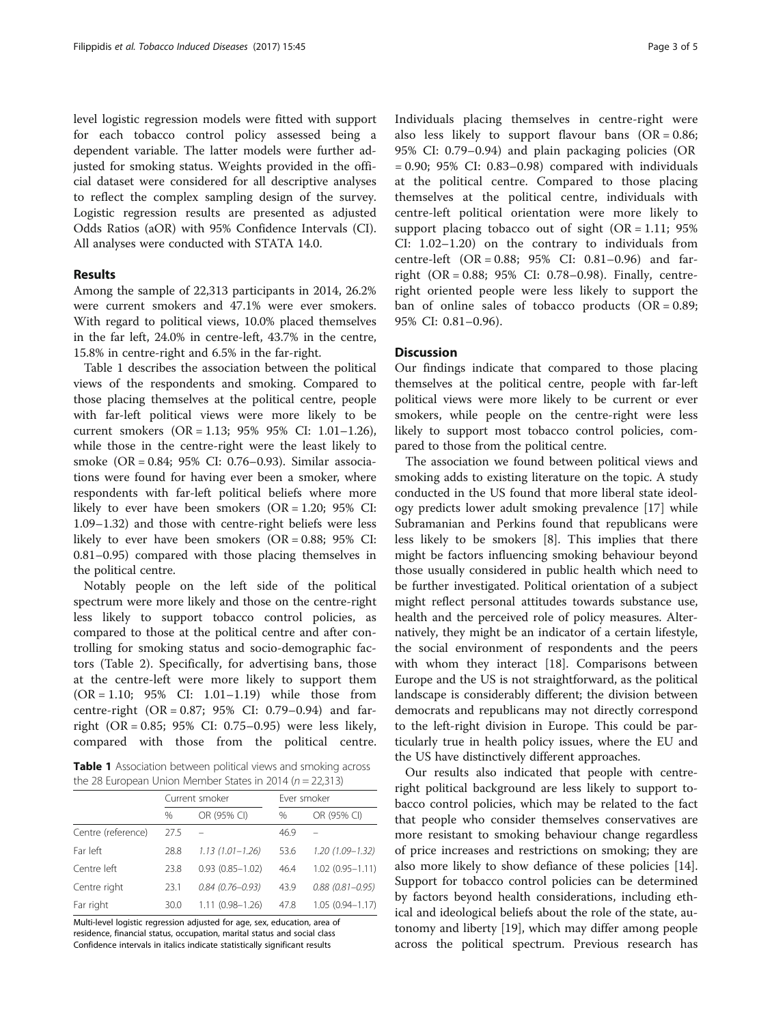level logistic regression models were fitted with support for each tobacco control policy assessed being a dependent variable. The latter models were further adjusted for smoking status. Weights provided in the official dataset were considered for all descriptive analyses to reflect the complex sampling design of the survey. Logistic regression results are presented as adjusted Odds Ratios (aOR) with 95% Confidence Intervals (CI). All analyses were conducted with STATA 14.0.

# Results

Among the sample of 22,313 participants in 2014, 26.2% were current smokers and 47.1% were ever smokers. With regard to political views, 10.0% placed themselves in the far left, 24.0% in centre-left, 43.7% in the centre, 15.8% in centre-right and 6.5% in the far-right.

Table 1 describes the association between the political views of the respondents and smoking. Compared to those placing themselves at the political centre, people with far-left political views were more likely to be current smokers (OR = 1.13; 95% 95% CI: 1.01–1.26), while those in the centre-right were the least likely to smoke (OR = 0.84; 95% CI: 0.76–0.93). Similar associations were found for having ever been a smoker, where respondents with far-left political beliefs where more likely to ever have been smokers  $(OR = 1.20; 95\% \text{ CI:})$ 1.09–1.32) and those with centre-right beliefs were less likely to ever have been smokers (OR = 0.88; 95% CI: 0.81–0.95) compared with those placing themselves in the political centre.

Notably people on the left side of the political spectrum were more likely and those on the centre-right less likely to support tobacco control policies, as compared to those at the political centre and after controlling for smoking status and socio-demographic factors (Table [2\)](#page-3-0). Specifically, for advertising bans, those at the centre-left were more likely to support them (OR = 1.10; 95% CI: 1.01–1.19) while those from centre-right  $(OR = 0.87; 95\% \text{ CI: } 0.79-0.94)$  and farright (OR = 0.85; 95% CI: 0.75–0.95) were less likely, compared with those from the political centre.

Table 1 Association between political views and smoking across the 28 European Union Member States in 2014 ( $n = 22,313$ )

|                    | Current smoker |                     | Ever smoker |                     |
|--------------------|----------------|---------------------|-------------|---------------------|
|                    | $\%$           | OR (95% CI)         | %           | OR (95% CI)         |
| Centre (reference) | 27.5           |                     | 46.9        |                     |
| Far left           | 28.8           | $1.13(1.01 - 1.26)$ | 53.6        | $1.20(1.09 - 1.32)$ |
| Centre left        | 23.8           | $0.93(0.85 - 1.02)$ | 46.4        | $1.02(0.95 - 1.11)$ |
| Centre right       | 23.1           | $0.84(0.76 - 0.93)$ | 43.9        | $0.88(0.81 - 0.95)$ |
| Far right          | 30.0           | $1.11(0.98 - 1.26)$ | 47.8        | $1.05(0.94 - 1.17)$ |

Multi-level logistic regression adjusted for age, sex, education, area of residence, financial status, occupation, marital status and social class Confidence intervals in italics indicate statistically significant results

Individuals placing themselves in centre-right were also less likely to support flavour bans  $(OR = 0.86;$ 95% CI: 0.79–0.94) and plain packaging policies (OR  $= 0.90$ ; 95% CI: 0.83–0.98) compared with individuals at the political centre. Compared to those placing themselves at the political centre, individuals with centre-left political orientation were more likely to support placing tobacco out of sight  $(OR = 1.11; 95\%)$ CI: 1.02–1.20) on the contrary to individuals from centre-left (OR = 0.88; 95% CI: 0.81–0.96) and farright (OR = 0.88; 95% CI: 0.78–0.98). Finally, centreright oriented people were less likely to support the ban of online sales of tobacco products  $(OR = 0.89;$ 95% CI: 0.81–0.96).

## **Discussion**

Our findings indicate that compared to those placing themselves at the political centre, people with far-left political views were more likely to be current or ever smokers, while people on the centre-right were less likely to support most tobacco control policies, compared to those from the political centre.

The association we found between political views and smoking adds to existing literature on the topic. A study conducted in the US found that more liberal state ideology predicts lower adult smoking prevalence [[17\]](#page-4-0) while Subramanian and Perkins found that republicans were less likely to be smokers [\[8](#page-4-0)]. This implies that there might be factors influencing smoking behaviour beyond those usually considered in public health which need to be further investigated. Political orientation of a subject might reflect personal attitudes towards substance use, health and the perceived role of policy measures. Alternatively, they might be an indicator of a certain lifestyle, the social environment of respondents and the peers with whom they interact [[18\]](#page-4-0). Comparisons between Europe and the US is not straightforward, as the political landscape is considerably different; the division between democrats and republicans may not directly correspond to the left-right division in Europe. This could be particularly true in health policy issues, where the EU and the US have distinctively different approaches.

Our results also indicated that people with centreright political background are less likely to support tobacco control policies, which may be related to the fact that people who consider themselves conservatives are more resistant to smoking behaviour change regardless of price increases and restrictions on smoking; they are also more likely to show defiance of these policies [\[14](#page-4-0)]. Support for tobacco control policies can be determined by factors beyond health considerations, including ethical and ideological beliefs about the role of the state, autonomy and liberty [[19\]](#page-4-0), which may differ among people across the political spectrum. Previous research has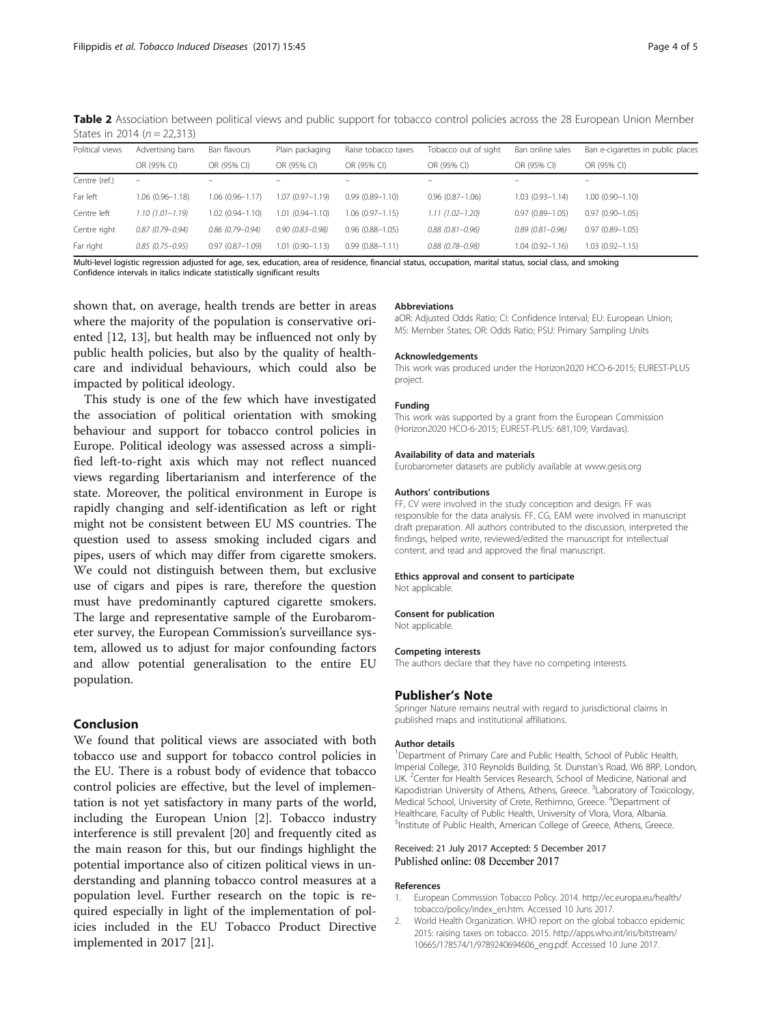<span id="page-3-0"></span>Table 2 Association between political views and public support for tobacco control policies across the 28 European Union Member States in 2014 ( $n = 22.313$ )

| Political views | Advertising bans    | Ban flavours        | Plain packaging          | Raise tobacco taxes | Tobacco out of sight | Ban online sales    | Ban e-cigarettes in public places |
|-----------------|---------------------|---------------------|--------------------------|---------------------|----------------------|---------------------|-----------------------------------|
|                 | OR (95% CI)         | OR (95% CI)         | OR (95% CI)              | OR (95% CI)         | OR (95% CI)          | OR (95% CI)         | OR (95% CI)                       |
| Centre (ref.)   | -                   |                     | $\overline{\phantom{0}}$ |                     |                      |                     | -                                 |
| Far left        | $1.06(0.96 - 1.18)$ | $1.06(0.96 - 1.17)$ | $1.07(0.97 - 1.19)$      | $0.99(0.89 - 1.10)$ | $0.96(0.87 - 1.06)$  | $1.03(0.93 - 1.14)$ | $1.00(0.90 - 1.10)$               |
| Centre left     | $1.10(1.01 - 1.19)$ | $1.02(0.94 - 1.10)$ | $1.01(0.94 - 1.10)$      | $1.06(0.97 - 1.15)$ | $1.11(1.02 - 1.20)$  | $0.97(0.89 - 1.05)$ | $0.97(0.90 - 1.05)$               |
| Centre right    | $0.87(0.79 - 0.94)$ | $0.86(0.79 - 0.94)$ | $0.90(0.83 - 0.98)$      | $0.96(0.88 - 1.05)$ | $0.88(0.81 - 0.96)$  | $0.89(0.81 - 0.96)$ | $0.97(0.89 - 1.05)$               |
| Far right       | $0.85(0.75 - 0.95)$ | $0.97(0.87 - 1.09)$ | $1.01(0.90 - 1.13)$      | $0.99(0.88 - 1.11)$ | $0.88(0.78 - 0.98)$  | $1.04(0.92 - 1.16)$ | $1.03(0.92 - 1.15)$               |

Multi-level logistic regression adjusted for age, sex, education, area of residence, financial status, occupation, marital status, social class, and smoking Confidence intervals in italics indicate statistically significant results

shown that, on average, health trends are better in areas where the majority of the population is conservative oriented [[12, 13\]](#page-4-0), but health may be influenced not only by public health policies, but also by the quality of healthcare and individual behaviours, which could also be impacted by political ideology.

This study is one of the few which have investigated the association of political orientation with smoking behaviour and support for tobacco control policies in Europe. Political ideology was assessed across a simplified left-to-right axis which may not reflect nuanced views regarding libertarianism and interference of the state. Moreover, the political environment in Europe is rapidly changing and self-identification as left or right might not be consistent between EU MS countries. The question used to assess smoking included cigars and pipes, users of which may differ from cigarette smokers. We could not distinguish between them, but exclusive use of cigars and pipes is rare, therefore the question must have predominantly captured cigarette smokers. The large and representative sample of the Eurobarometer survey, the European Commission's surveillance system, allowed us to adjust for major confounding factors and allow potential generalisation to the entire EU population.

## Conclusion

We found that political views are associated with both tobacco use and support for tobacco control policies in the EU. There is a robust body of evidence that tobacco control policies are effective, but the level of implementation is not yet satisfactory in many parts of the world, including the European Union [2]. Tobacco industry interference is still prevalent [\[20](#page-4-0)] and frequently cited as the main reason for this, but our findings highlight the potential importance also of citizen political views in understanding and planning tobacco control measures at a population level. Further research on the topic is required especially in light of the implementation of policies included in the EU Tobacco Product Directive implemented in 2017 [[21\]](#page-4-0).

#### Abbreviations

aOR: Adjusted Odds Ratio; CI: Confidence Interval; EU: European Union; MS: Member States; OR: Odds Ratio; PSU: Primary Sampling Units

#### Acknowledgements

This work was produced under the Horizon2020 HCO-6-2015; EUREST-PLUS project.

#### Funding

This work was supported by a grant from the European Commission (Horizon2020 HCO-6-2015; EUREST-PLUS: 681,109; Vardavas).

#### Availability of data and materials

Eurobarometer datasets are publicly available at [www.gesis.org](http://www.gesis.org)

#### Authors' contributions

FF, CV were involved in the study conception and design. FF was responsible for the data analysis. FF, CG, EAM were involved in manuscript draft preparation. All authors contributed to the discussion, interpreted the findings, helped write, reviewed/edited the manuscript for intellectual content, and read and approved the final manuscript.

#### Ethics approval and consent to participate

Not applicable.

#### Consent for publication

Not applicable.

#### Competing interests

The authors declare that they have no competing interests.

## Publisher's Note

Springer Nature remains neutral with regard to jurisdictional claims in published maps and institutional affiliations.

#### Author details

<sup>1</sup>Department of Primary Care and Public Health, School of Public Health, Imperial College, 310 Reynolds Building, St. Dunstan's Road, W6 8RP, London, UK. <sup>2</sup> Center for Health Services Research, School of Medicine, National and Kapodistrian University of Athens, Athens, Greece. <sup>3</sup> Laboratory of Toxicology, Medical School, University of Crete, Rethimno, Greece. <sup>4</sup>Department of Healthcare, Faculty of Public Health, University of Vlora, Vlora, Albania. <sup>5</sup>Institute of Public Health, American College of Greece, Athens, Greece

## Received: 21 July 2017 Accepted: 5 December 2017 Published online: 08 December 2017

#### References

- 1. European Commission Tobacco Policy. 2014. [http://ec.europa.eu/health/](http://ec.europa.eu/health/tobacco/policy/index_en.htm) [tobacco/policy/index\\_en.htm.](http://ec.europa.eu/health/tobacco/policy/index_en.htm) Accessed 10 Juns 2017.
- 2. World Health Organization. WHO report on the global tobacco epidemic 2015: raising taxes on tobacco. 2015. [http://apps.who.int/iris/bitstream/](http://apps.who.int/iris/bitstream/10665/178574/1/9789240694606_eng.pdf) [10665/178574/1/9789240694606\\_eng.pdf.](http://apps.who.int/iris/bitstream/10665/178574/1/9789240694606_eng.pdf) Accessed 10 June 2017.